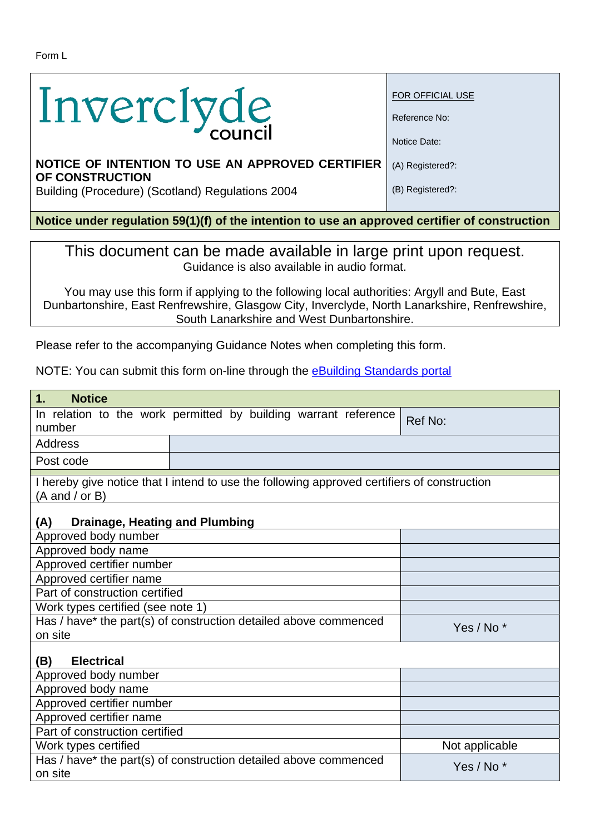| Inverclyde |  |
|------------|--|
|            |  |

FOR OFFICIAL USE

Reference No:

Notice Date:

(A) Registered?:

(B) Registered?:

## **NOTICE OF INTENTION TO USE AN APPROVED CERTIFIER OF CONSTRUCTION**

Building (Procedure) (Scotland) Regulations 2004

**Notice under regulation 59(1)(f) of the intention to use an approved certifier of construction** 

This document can be made available in large print upon request. Guidance is also available in audio format.

You may use this form if applying to the following local authorities: Argyll and Bute, East Dunbartonshire, East Renfrewshire, Glasgow City, Inverclyde, North Lanarkshire, Renfrewshire, South Lanarkshire and West Dunbartonshire.

Please refer to the accompanying Guidance Notes when completing this form.

NOTE: You can submit this form on-line through the eBuilding Standards portal

| 1.<br><b>Notice</b>                                                                                                               |                                                                  |                       |  |
|-----------------------------------------------------------------------------------------------------------------------------------|------------------------------------------------------------------|-----------------------|--|
| number                                                                                                                            | In relation to the work permitted by building warrant reference  | Ref No:               |  |
| <b>Address</b>                                                                                                                    |                                                                  |                       |  |
| Post code                                                                                                                         |                                                                  |                       |  |
| I hereby give notice that I intend to use the following approved certifiers of construction<br>$(A \text{ and } / \text{ or } B)$ |                                                                  |                       |  |
| <b>Drainage, Heating and Plumbing</b><br>(A)                                                                                      |                                                                  |                       |  |
| Approved body number                                                                                                              |                                                                  |                       |  |
| Approved body name                                                                                                                |                                                                  |                       |  |
| Approved certifier number                                                                                                         |                                                                  |                       |  |
| Approved certifier name                                                                                                           |                                                                  |                       |  |
| Part of construction certified                                                                                                    |                                                                  |                       |  |
| Work types certified (see note 1)                                                                                                 |                                                                  |                       |  |
| on site                                                                                                                           | Has / have* the part(s) of construction detailed above commenced | Yes / No <sup>*</sup> |  |
| <b>Electrical</b><br>(B)                                                                                                          |                                                                  |                       |  |
| Approved body number                                                                                                              |                                                                  |                       |  |
| Approved body name                                                                                                                |                                                                  |                       |  |
| Approved certifier number                                                                                                         |                                                                  |                       |  |
| Approved certifier name                                                                                                           |                                                                  |                       |  |
| Part of construction certified                                                                                                    |                                                                  |                       |  |
| Work types certified                                                                                                              |                                                                  | Not applicable        |  |
| on site                                                                                                                           | Has / have* the part(s) of construction detailed above commenced | Yes / No <sup>*</sup> |  |